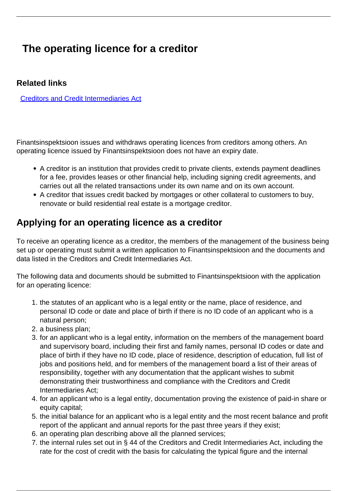## **The operating licence for a creditor**

#### **Related links**

[Creditors and Credit Intermediaries Act](https://www.riigiteataja.ee/en/eli/510012018004/consolide)

Finantsinspektsioon issues and withdraws operating licences from creditors among others. An operating licence issued by Finantsinspektsioon does not have an expiry date.

- A creditor is an institution that provides credit to private clients, extends payment deadlines for a fee, provides leases or other financial help, including signing credit agreements, and carries out all the related transactions under its own name and on its own account.
- A creditor that issues credit backed by mortgages or other collateral to customers to buy, renovate or build residential real estate is a mortgage creditor.

#### **Applying for an operating licence as a creditor**

To receive an operating licence as a creditor, the members of the management of the business being set up or operating must submit a written application to Finantsinspektsioon and the documents and data listed in the Creditors and Credit Intermediaries Act.

The following data and documents should be submitted to Finantsinspektsioon with the application for an operating licence:

- 1. the statutes of an applicant who is a legal entity or the name, place of residence, and personal ID code or date and place of birth if there is no ID code of an applicant who is a natural person;
- 2. a business plan;
- 3. for an applicant who is a legal entity, information on the members of the management board and supervisory board, including their first and family names, personal ID codes or date and place of birth if they have no ID code, place of residence, description of education, full list of jobs and positions held, and for members of the management board a list of their areas of responsibility, together with any documentation that the applicant wishes to submit demonstrating their trustworthiness and compliance with the Creditors and Credit Intermediaries Act;
- 4. for an applicant who is a legal entity, documentation proving the existence of paid-in share or equity capital;
- 5. the initial balance for an applicant who is a legal entity and the most recent balance and profit report of the applicant and annual reports for the past three years if they exist;
- 6. an operating plan describing above all the planned services;
- 7. the internal rules set out in § 44 of the Creditors and Credit Intermediaries Act, including the rate for the cost of credit with the basis for calculating the typical figure and the internal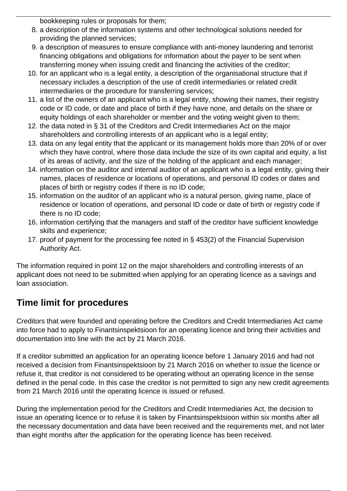bookkeeping rules or proposals for them;

- 8. a description of the information systems and other technological solutions needed for providing the planned services;
- 9. a description of measures to ensure compliance with anti-money laundering and terrorist financing obligations and obligations for information about the payer to be sent when transferring money when issuing credit and financing the activities of the creditor;
- 10. for an applicant who is a legal entity, a description of the organisational structure that if necessary includes a description of the use of credit intermediaries or related credit intermediaries or the procedure for transferring services;
- 11. a list of the owners of an applicant who is a legal entity, showing their names, their registry code or ID code, or date and place of birth if they have none, and details on the share or equity holdings of each shareholder or member and the voting weight given to them;
- 12. the data noted in § 31 of the Creditors and Credit Intermediaries Act on the major shareholders and controlling interests of an applicant who is a legal entity;
- 13. data on any legal entity that the applicant or its management holds more than 20% of or over which they have control, where those data include the size of its own capital and equity, a list of its areas of activity, and the size of the holding of the applicant and each manager;
- 14. information on the auditor and internal auditor of an applicant who is a legal entity, giving their names, places of residence or locations of operations, and personal ID codes or dates and places of birth or registry codes if there is no ID code;
- 15. information on the auditor of an applicant who is a natural person, giving name, place of residence or location of operations, and personal ID code or date of birth or registry code if there is no ID code;
- 16. information certifying that the managers and staff of the creditor have sufficient knowledge skills and experience;
- 17. proof of payment for the processing fee noted in § 453(2) of the Financial Supervision Authority Act.

The information required in point 12 on the major shareholders and controlling interests of an applicant does not need to be submitted when applying for an operating licence as a savings and loan association.

### **Time limit for procedures**

Creditors that were founded and operating before the Creditors and Credit Intermediaries Act came into force had to apply to Finantsinspektsioon for an operating licence and bring their activities and documentation into line with the act by 21 March 2016.

If a creditor submitted an application for an operating licence before 1 January 2016 and had not received a decision from Finantsinspektsioon by 21 March 2016 on whether to issue the licence or refuse it, that creditor is not considered to be operating without an operating licence in the sense defined in the penal code. In this case the creditor is not permitted to sign any new credit agreements from 21 March 2016 until the operating licence is issued or refused.

During the implementation period for the Creditors and Credit Intermediaries Act, the decision to issue an operating licence or to refuse it is taken by Finantsinspektsioon within six months after all the necessary documentation and data have been received and the requirements met, and not later than eight months after the application for the operating licence has been received.